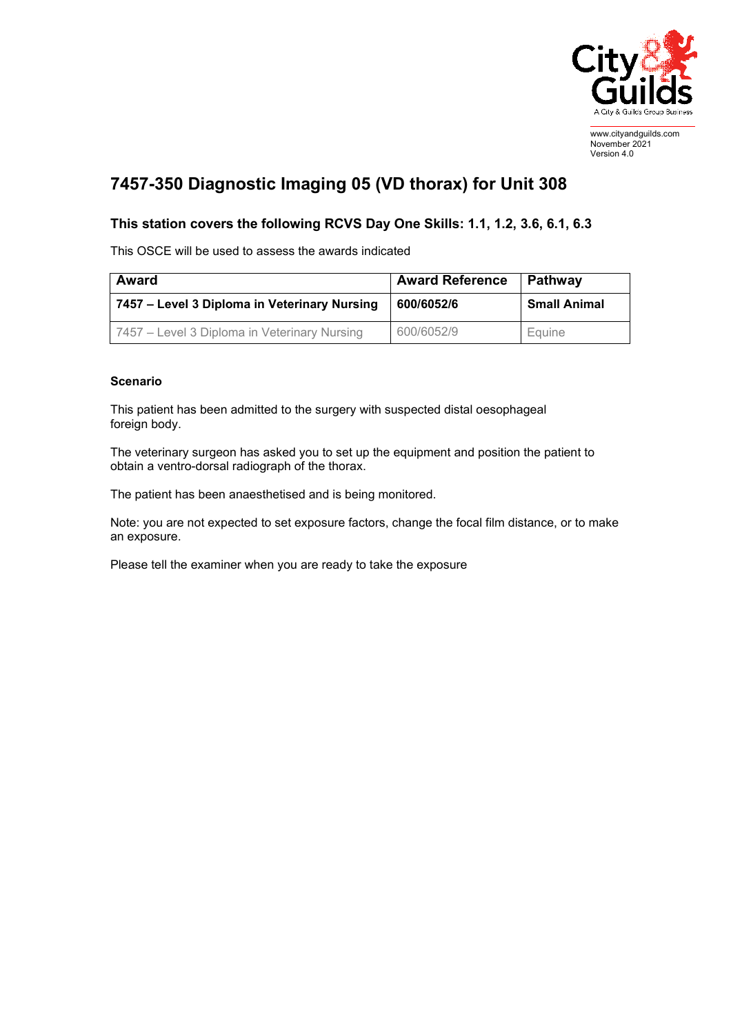

www.cityandguilds.com November 2021 Version 4.0

## **7457-350 Diagnostic Imaging 05 (VD thorax) for Unit 308**

## **This station covers the following RCVS Day One Skills: 1.1, 1.2, 3.6, 6.1, 6.3**

This OSCE will be used to assess the awards indicated

| Award                                        | <b>Award Reference</b> | Pathway             |
|----------------------------------------------|------------------------|---------------------|
| 7457 - Level 3 Diploma in Veterinary Nursing | 600/6052/6             | <b>Small Animal</b> |
| 7457 – Level 3 Diploma in Veterinary Nursing | 600/6052/9             | Equine              |

## **Scenario**

This patient has been admitted to the surgery with suspected distal oesophageal foreign body.

The veterinary surgeon has asked you to set up the equipment and position the patient to obtain a ventro-dorsal radiograph of the thorax.

The patient has been anaesthetised and is being monitored.

Note: you are not expected to set exposure factors, change the focal film distance, or to make an exposure.

Please tell the examiner when you are ready to take the exposure